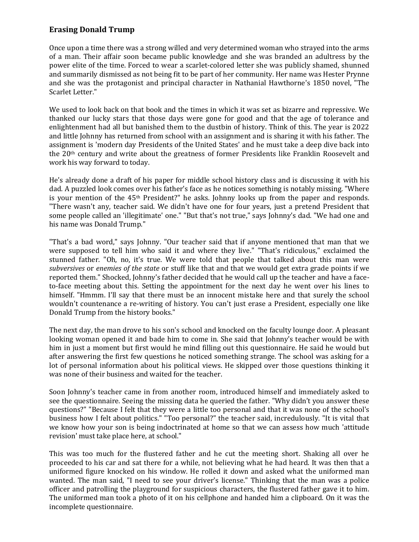## **Erasing Donald Trump**

Once upon a time there was a strong willed and very determined woman who strayed into the arms of a man. Their affair soon became public knowledge and she was branded an adultress by the power elite of the time. Forced to wear a scarlet-colored letter she was publicly shamed, shunned and summarily dismissed as not being fit to be part of her community. Her name was Hester Prynne and she was the protagonist and principal character in Nathanial Hawthorne's 1850 novel, "The Scarlet Letter."

We used to look back on that book and the times in which it was set as bizarre and repressive. We thanked our lucky stars that those days were gone for good and that the age of tolerance and enlightenment had all but banished them to the dustbin of history. Think of this. The year is 2022 and little Johnny has returned from school with an assignment and is sharing it with his father. The assignment is 'modern day Presidents of the United States' and he must take a deep dive back into the 20th century and write about the greatness of former Presidents like Franklin Roosevelt and work his way forward to today.

He's already done a draft of his paper for middle school history class and is discussing it with his dad. A puzzled look comes over his father's face as he notices something is notably missing. "Where is your mention of the  $45<sup>th</sup>$  President?" he asks. Johnny looks up from the paper and responds. "There wasn't any, teacher said. We didn't have one for four years, just a pretend President that some people called an 'illegitimate' one." "But that's not true," says Johnny's dad. "We had one and his name was Donald Trump."

"That's a bad word," says Johnny. "Our teacher said that if anyone mentioned that man that we were supposed to tell him who said it and where they live." "That's ridiculous," exclaimed the stunned father. "Oh, no, it's true. We were told that people that talked about this man were *subversives* or *enemies of the state* or stuff like that and that we would get extra grade points if we reported them." Shocked, Johnny's father decided that he would call up the teacher and have a faceto-face meeting about this. Setting the appointment for the next day he went over his lines to himself. "Hmmm. I'll say that there must be an innocent mistake here and that surely the school wouldn't countenance a re-writing of history. You can't just erase a President, especially one like Donald Trump from the history books."

The next day, the man drove to his son's school and knocked on the faculty lounge door. A pleasant looking woman opened it and bade him to come in. She said that Johnny's teacher would be with him in just a moment but first would he mind filling out this questionnaire. He said he would but after answering the first few questions he noticed something strange. The school was asking for a lot of personal information about his political views. He skipped over those questions thinking it was none of their business and waited for the teacher.

Soon Johnny's teacher came in from another room, introduced himself and immediately asked to see the questionnaire. Seeing the missing data he queried the father. "Why didn't you answer these questions?" "Because I felt that they were a little too personal and that it was none of the school's business how I felt about politics." "Too personal?" the teacher said, incredulously. "It is vital that we know how your son is being indoctrinated at home so that we can assess how much 'attitude revision' must take place here, at school."

This was too much for the flustered father and he cut the meeting short. Shaking all over he proceeded to his car and sat there for a while, not believing what he had heard. It was then that a uniformed figure knocked on his window. He rolled it down and asked what the uniformed man wanted. The man said, "I need to see your driver's license." Thinking that the man was a police officer and patrolling the playground for suspicious characters, the flustered father gave it to him. The uniformed man took a photo of it on his cellphone and handed him a clipboard. On it was the incomplete questionnaire.